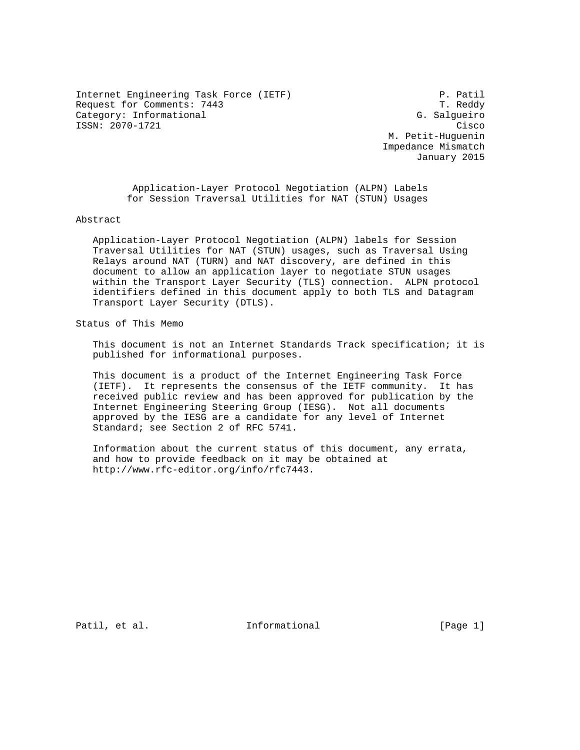Internet Engineering Task Force (IETF) P. Patil P. Patil<br>Request for Comments: 7443 T. Reddy Request for Comments: 7443 Category: Informational G. Salgueiro ISSN: 2070-1721 Cisco

 M. Petit-Huguenin Impedance Mismatch January 2015

 Application-Layer Protocol Negotiation (ALPN) Labels for Session Traversal Utilities for NAT (STUN) Usages

Abstract

 Application-Layer Protocol Negotiation (ALPN) labels for Session Traversal Utilities for NAT (STUN) usages, such as Traversal Using Relays around NAT (TURN) and NAT discovery, are defined in this document to allow an application layer to negotiate STUN usages within the Transport Layer Security (TLS) connection. ALPN protocol identifiers defined in this document apply to both TLS and Datagram Transport Layer Security (DTLS).

Status of This Memo

 This document is not an Internet Standards Track specification; it is published for informational purposes.

 This document is a product of the Internet Engineering Task Force (IETF). It represents the consensus of the IETF community. It has received public review and has been approved for publication by the Internet Engineering Steering Group (IESG). Not all documents approved by the IESG are a candidate for any level of Internet Standard; see Section 2 of RFC 5741.

 Information about the current status of this document, any errata, and how to provide feedback on it may be obtained at http://www.rfc-editor.org/info/rfc7443.

Patil, et al. 10. Informational [Page 1]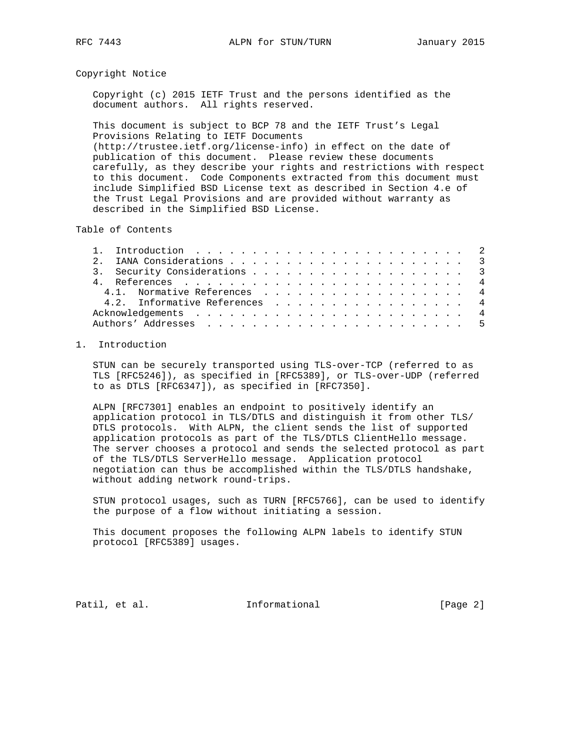#### Copyright Notice

 Copyright (c) 2015 IETF Trust and the persons identified as the document authors. All rights reserved.

 This document is subject to BCP 78 and the IETF Trust's Legal Provisions Relating to IETF Documents (http://trustee.ietf.org/license-info) in effect on the date of publication of this document. Please review these documents carefully, as they describe your rights and restrictions with respect to this document. Code Components extracted from this document must include Simplified BSD License text as described in Section 4.e of the Trust Legal Provisions and are provided without warranty as described in the Simplified BSD License.

Table of Contents

|  | 3. Security Considerations 3  |  |  |  |  |  |  |  |  |  |  |  |  |
|--|-------------------------------|--|--|--|--|--|--|--|--|--|--|--|--|
|  |                               |  |  |  |  |  |  |  |  |  |  |  |  |
|  | 4.1. Normative References 4   |  |  |  |  |  |  |  |  |  |  |  |  |
|  | 4.2. Informative References 4 |  |  |  |  |  |  |  |  |  |  |  |  |
|  |                               |  |  |  |  |  |  |  |  |  |  |  |  |
|  |                               |  |  |  |  |  |  |  |  |  |  |  |  |
|  |                               |  |  |  |  |  |  |  |  |  |  |  |  |

# 1. Introduction

 STUN can be securely transported using TLS-over-TCP (referred to as TLS [RFC5246]), as specified in [RFC5389], or TLS-over-UDP (referred to as DTLS [RFC6347]), as specified in [RFC7350].

 ALPN [RFC7301] enables an endpoint to positively identify an application protocol in TLS/DTLS and distinguish it from other TLS/ DTLS protocols. With ALPN, the client sends the list of supported application protocols as part of the TLS/DTLS ClientHello message. The server chooses a protocol and sends the selected protocol as part of the TLS/DTLS ServerHello message. Application protocol negotiation can thus be accomplished within the TLS/DTLS handshake, without adding network round-trips.

 STUN protocol usages, such as TURN [RFC5766], can be used to identify the purpose of a flow without initiating a session.

 This document proposes the following ALPN labels to identify STUN protocol [RFC5389] usages.

Patil, et al. 1nformational [Page 2]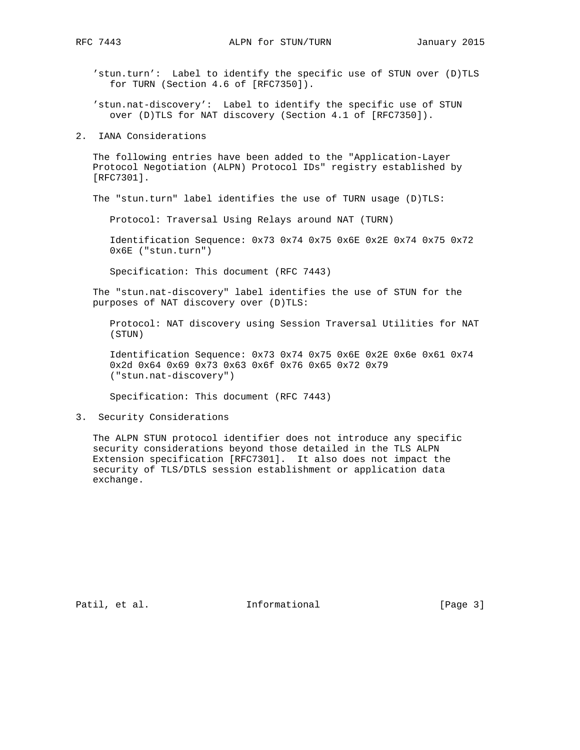'stun.turn': Label to identify the specific use of STUN over (D)TLS for TURN (Section 4.6 of [RFC7350]).

 'stun.nat-discovery': Label to identify the specific use of STUN over (D)TLS for NAT discovery (Section 4.1 of [RFC7350]).

2. IANA Considerations

 The following entries have been added to the "Application-Layer Protocol Negotiation (ALPN) Protocol IDs" registry established by [RFC7301].

The "stun.turn" label identifies the use of TURN usage (D)TLS:

Protocol: Traversal Using Relays around NAT (TURN)

 Identification Sequence: 0x73 0x74 0x75 0x6E 0x2E 0x74 0x75 0x72 0x6E ("stun.turn")

Specification: This document (RFC 7443)

 The "stun.nat-discovery" label identifies the use of STUN for the purposes of NAT discovery over (D)TLS:

 Protocol: NAT discovery using Session Traversal Utilities for NAT (STUN)

 Identification Sequence: 0x73 0x74 0x75 0x6E 0x2E 0x6e 0x61 0x74 0x2d 0x64 0x69 0x73 0x63 0x6f 0x76 0x65 0x72 0x79 ("stun.nat-discovery")

Specification: This document (RFC 7443)

#### 3. Security Considerations

 The ALPN STUN protocol identifier does not introduce any specific security considerations beyond those detailed in the TLS ALPN Extension specification [RFC7301]. It also does not impact the security of TLS/DTLS session establishment or application data exchange.

Patil, et al. 1nformational [Page 3]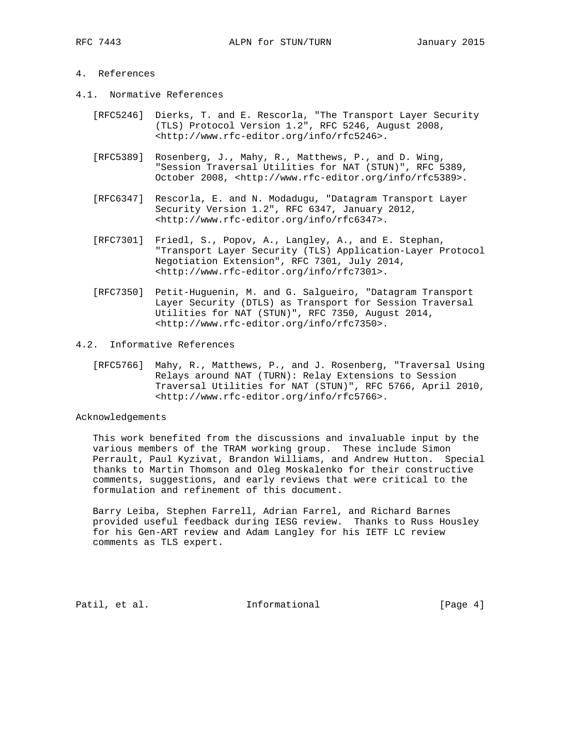## 4. References

- 4.1. Normative References
- [RFC5246] Dierks, T. and E. Rescorla, "The Transport Layer Security (TLS) Protocol Version 1.2", RFC 5246, August 2008, <http://www.rfc-editor.org/info/rfc5246>.
	- [RFC5389] Rosenberg, J., Mahy, R., Matthews, P., and D. Wing, "Session Traversal Utilities for NAT (STUN)", RFC 5389, October 2008, <http://www.rfc-editor.org/info/rfc5389>.
	- [RFC6347] Rescorla, E. and N. Modadugu, "Datagram Transport Layer Security Version 1.2", RFC 6347, January 2012, <http://www.rfc-editor.org/info/rfc6347>.
	- [RFC7301] Friedl, S., Popov, A., Langley, A., and E. Stephan, "Transport Layer Security (TLS) Application-Layer Protocol Negotiation Extension", RFC 7301, July 2014, <http://www.rfc-editor.org/info/rfc7301>.
	- [RFC7350] Petit-Huguenin, M. and G. Salgueiro, "Datagram Transport Layer Security (DTLS) as Transport for Session Traversal Utilities for NAT (STUN)", RFC 7350, August 2014, <http://www.rfc-editor.org/info/rfc7350>.

## 4.2. Informative References

 [RFC5766] Mahy, R., Matthews, P., and J. Rosenberg, "Traversal Using Relays around NAT (TURN): Relay Extensions to Session Traversal Utilities for NAT (STUN)", RFC 5766, April 2010, <http://www.rfc-editor.org/info/rfc5766>.

#### Acknowledgements

 This work benefited from the discussions and invaluable input by the various members of the TRAM working group. These include Simon Perrault, Paul Kyzivat, Brandon Williams, and Andrew Hutton. Special thanks to Martin Thomson and Oleg Moskalenko for their constructive comments, suggestions, and early reviews that were critical to the formulation and refinement of this document.

 Barry Leiba, Stephen Farrell, Adrian Farrel, and Richard Barnes provided useful feedback during IESG review. Thanks to Russ Housley for his Gen-ART review and Adam Langley for his IETF LC review comments as TLS expert.

Patil, et al. 1nformational [Page 4]